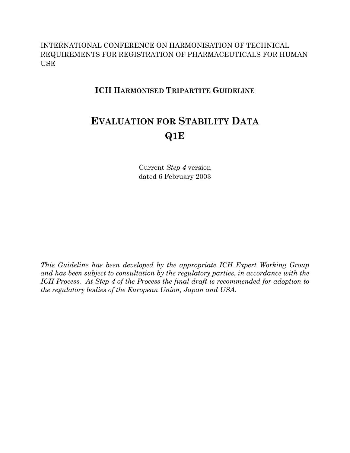INTERNATIONAL CONFERENCE ON HARMONISATION OF TECHNICAL REQUIREMENTS FOR REGISTRATION OF PHARMACEUTICALS FOR HUMAN USE

## **ICH HARMONISED TRIPARTITE GUIDELINE**

# **EVALUATION FOR STABILITY DATA Q1E**

Current *Step 4* version dated 6 February 2003

*This Guideline has been developed by the appropriate ICH Expert Working Group and has been subject to consultation by the regulatory parties, in accordance with the ICH Process. At Step 4 of the Process the final draft is recommended for adoption to the regulatory bodies of the European Union, Japan and USA.*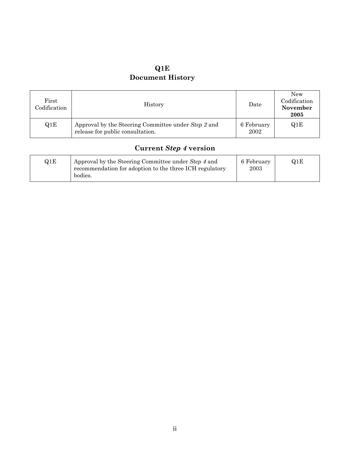| Q1E                     |
|-------------------------|
| <b>Document History</b> |

| First<br>Codification | History                                                                                 | Date               | <b>New</b><br>Codification<br>November<br>2005 |
|-----------------------|-----------------------------------------------------------------------------------------|--------------------|------------------------------------------------|
| Q1E                   | Approval by the Steering Committee under Step 2 and<br>release for public consultation. | 6 February<br>2002 | Q1E                                            |

## **Current** *Step 4* **version**

| Q1E | Approval by the Steering Committee under Step 4 and<br>recommendation for adoption to the three ICH regulatory | 6 February<br>2003 | Q1E |
|-----|----------------------------------------------------------------------------------------------------------------|--------------------|-----|
|     | bodies.                                                                                                        |                    |     |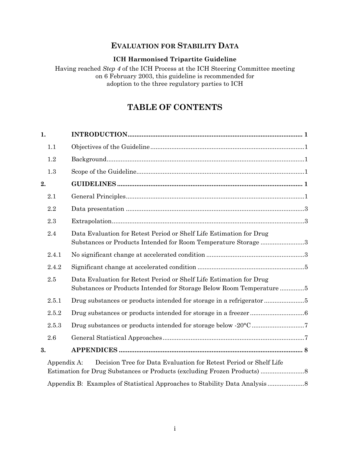## **EVALUATION FOR STABILITY DATA**

## **ICH Harmonised Tripartite Guideline**

Having reached *Step 4* of the ICH Process at the ICH Steering Committee meeting on 6 February 2003, this guideline is recommended for adoption to the three regulatory parties to ICH

## **TABLE OF CONTENTS**

| 1. |             |                                                                                                                                            |
|----|-------------|--------------------------------------------------------------------------------------------------------------------------------------------|
|    | 1.1         |                                                                                                                                            |
|    | 1.2         |                                                                                                                                            |
|    | 1.3         |                                                                                                                                            |
| 2. |             |                                                                                                                                            |
|    | 2.1         |                                                                                                                                            |
|    | 2.2         |                                                                                                                                            |
|    | 2.3         |                                                                                                                                            |
|    | 2.4         | Data Evaluation for Retest Period or Shelf Life Estimation for Drug<br>Substances or Products Intended for Room Temperature Storage3       |
|    | 2.4.1       |                                                                                                                                            |
|    | 2.4.2       |                                                                                                                                            |
|    | 2.5         | Data Evaluation for Retest Period or Shelf Life Estimation for Drug<br>Substances or Products Intended for Storage Below Room Temperature5 |
|    | 2.5.1       |                                                                                                                                            |
|    | 2.5.2       |                                                                                                                                            |
|    | 2.5.3       |                                                                                                                                            |
|    | 2.6         |                                                                                                                                            |
| 3. |             |                                                                                                                                            |
|    | Appendix A: | Decision Tree for Data Evaluation for Retest Period or Shelf Life                                                                          |
|    |             |                                                                                                                                            |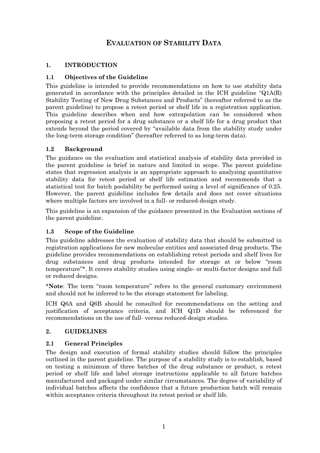## **EVALUATION OF STABILITY DATA**

## <span id="page-4-0"></span>**1. INTRODUCTION**

## **1.1 Objectives of the Guideline**

This guideline is intended to provide recommendations on how to use stability data generated in accordance with the principles detailed in the ICH guideline "Q1A(R) Stability Testing of New Drug Substances and Products" (hereafter referred to as the parent guideline) to propose a retest period or shelf life in a registration application. This guideline describes when and how extrapolation can be considered when proposing a retest period for a drug substance or a shelf life for a drug product that extends beyond the period covered by "available data from the stability study under the long-term storage condition" (hereafter referred to as long-term data).

## **1.2 Background**

The guidance on the evaluation and statistical analysis of stability data provided in the parent guideline is brief in nature and limited in scope. The parent guideline states that regression analysis is an appropriate approach to analyzing quantitative stability data for retest period or shelf life estimation and recommends that a statistical test for batch poolability be performed using a level of significance of 0.25. However, the parent guideline includes few details and does not cover situations where multiple factors are involved in a full- or reduced-design study.

This guideline is an expansion of the guidance presented in the Evaluation sections of the parent guideline.

## **1.3 Scope of the Guideline**

This guideline addresses the evaluation of stability data that should be submitted in registration applications for new molecular entities and associated drug products. The guideline provides recommendations on establishing retest periods and shelf lives for drug substances and drug products intended for storage at or below "room temperature"\*. It covers stability studies using single- or multi-factor designs and full or reduced designs.

\***Note**: The term "room temperature" refers to the general customary environment and should not be inferred to be the storage statement for labeling.

ICH Q6A and Q6B should be consulted for recommendations on the setting and justification of acceptance criteria, and ICH Q1D should be referenced for recommendations on the use of full- versus reduced-design studies.

## **2. GUIDELINES**

## **2.1 General Principles**

The design and execution of formal stability studies should follow the principles outlined in the parent guideline. The purpose of a stability study is to establish, based on testing a minimum of three batches of the drug substance or product, a retest period or shelf life and label storage instructions applicable to all future batches manufactured and packaged under similar circumstances. The degree of variability of individual batches affects the confidence that a future production batch will remain within acceptance criteria throughout its retest period or shelf life.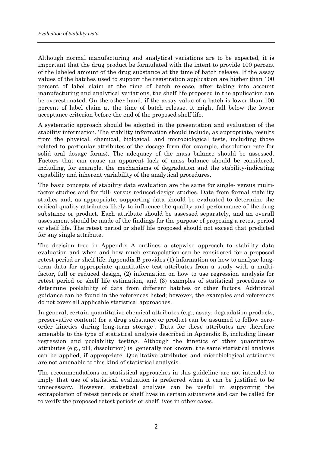Although normal manufacturing and analytical variations are to be expected, it is important that the drug product be formulated with the intent to provide 100 percent of the labeled amount of the drug substance at the time of batch release. If the assay values of the batches used to support the registration application are higher than 100 percent of label claim at the time of batch release, after taking into account manufacturing and analytical variations, the shelf life proposed in the application can be overestimated. On the other hand, if the assay value of a batch is lower than 100 percent of label claim at the time of batch release, it might fall below the lower acceptance criterion before the end of the proposed shelf life.

A systematic approach should be adopted in the presentation and evaluation of the stability information. The stability information should include, as appropriate, results from the physical, chemical, biological, and microbiological tests, including those related to particular attributes of the dosage form (for example, dissolution rate for solid oral dosage forms). The adequacy of the mass balance should be assessed. Factors that can cause an apparent lack of mass balance should be considered, including, for example, the mechanisms of degradation and the stability-indicating capability and inherent variability of the analytical procedures.

The basic concepts of stability data evaluation are the same for single- versus multifactor studies and for full- versus reduced-design studies. Data from formal stability studies and, as appropriate, supporting data should be evaluated to determine the critical quality attributes likely to influence the quality and performance of the drug substance or product. Each attribute should be assessed separately, and an overall assessment should be made of the findings for the purpose of proposing a retest period or shelf life. The retest period or shelf life proposed should not exceed that predicted for any single attribute.

The decision tree in Appendix A outlines a stepwise approach to stability data evaluation and when and how much extrapolation can be considered for a proposed retest period or shelf life. Appendix B provides (1) information on how to analyze longterm data for appropriate quantitative test attributes from a study with a multifactor, full or reduced design, (2) information on how to use regression analysis for retest period or shelf life estimation, and (3) examples of statistical procedures to determine poolability of data from different batches or other factors. Additional guidance can be found in the references listed; however, the examples and references do not cover all applicable statistical approaches.

In general, certain quantitative chemical attributes (e.g., assay, degradation products, preservative content) for a drug substance or product can be assumed to follow zeroorder kinetics during long-term storage1. Data for these attributes are therefore amenable to the type of statistical analysis described in Appendix B, including linear regression and poolability testing. Although the kinetics of other quantitative attributes (e.g., pH, dissolution) is generally not known, the same statistical analysis can be applied, if appropriate. Qualitative attributes and microbiological attributes are not amenable to this kind of statistical analysis.

The recommendations on statistical approaches in this guideline are not intended to imply that use of statistical evaluation is preferred when it can be justified to be unnecessary. However, statistical analysis can be useful in supporting the extrapolation of retest periods or shelf lives in certain situations and can be called for to verify the proposed retest periods or shelf lives in other cases.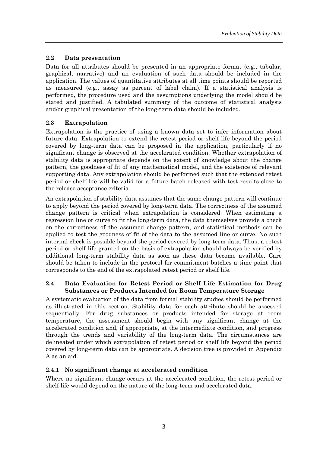## <span id="page-6-0"></span>**2.2 Data presentation**

Data for all attributes should be presented in an appropriate format (e.g., tabular, graphical, narrative) and an evaluation of such data should be included in the application. The values of quantitative attributes at all time points should be reported as measured (e.g., assay as percent of label claim). If a statistical analysis is performed, the procedure used and the assumptions underlying the model should be stated and justified. A tabulated summary of the outcome of statistical analysis and/or graphical presentation of the long-term data should be included.

## **2.3 Extrapolation**

Extrapolation is the practice of using a known data set to infer information about future data. Extrapolation to extend the retest period or shelf life beyond the period covered by long-term data can be proposed in the application, particularly if no significant change is observed at the accelerated condition. Whether extrapolation of stability data is appropriate depends on the extent of knowledge about the change pattern, the goodness of fit of any mathematical model, and the existence of relevant supporting data. Any extrapolation should be performed such that the extended retest period or shelf life will be valid for a future batch released with test results close to the release acceptance criteria.

An extrapolation of stability data assumes that the same change pattern will continue to apply beyond the period covered by long-term data. The correctness of the assumed change pattern is critical when extrapolation is considered. When estimating a regression line or curve to fit the long-term data, the data themselves provide a check on the correctness of the assumed change pattern, and statistical methods can be applied to test the goodness of fit of the data to the assumed line or curve. No such internal check is possible beyond the period covered by long-term data. Thus, a retest period or shelf life granted on the basis of extrapolation should always be verified by additional long-term stability data as soon as these data become available. Care should be taken to include in the protocol for commitment batches a time point that corresponds to the end of the extrapolated retest period or shelf life.

#### **2.4 Data Evaluation for Retest Period or Shelf Life Estimation for Drug Substances or Products Intended for Room Temperature Storage**

A systematic evaluation of the data from formal stability studies should be performed as illustrated in this section. Stability data for each attribute should be assessed sequentially. For drug substances or products intended for storage at room temperature, the assessment should begin with any significant change at the accelerated condition and, if appropriate, at the intermediate condition, and progress through the trends and variability of the long-term data. The circumstances are delineated under which extrapolation of retest period or shelf life beyond the period covered by long-term data can be appropriate. A decision tree is provided in Appendix A as an aid.

## **2.4.1 No significant change at accelerated condition**

Where no significant change occurs at the accelerated condition, the retest period or shelf life would depend on the nature of the long-term and accelerated data.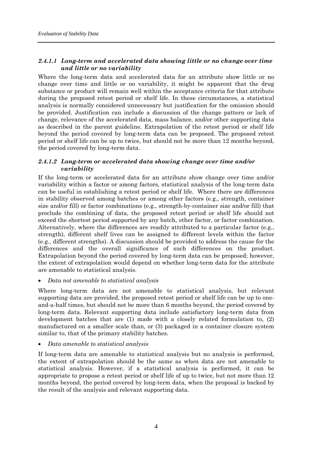#### *2.4.1.1 Long-term and accelerated data showing little or no change over time and little or no variability*

Where the long-term data and accelerated data for an attribute show little or no change over time and little or no variability, it might be apparent that the drug substance or product will remain well within the acceptance criteria for that attribute during the proposed retest period or shelf life. In these circumstances, a statistical analysis is normally considered unnecessary but justification for the omission should be provided. Justification can include a discussion of the change pattern or lack of change, relevance of the accelerated data, mass balance, and/or other supporting data as described in the parent guideline. Extrapolation of the retest period or shelf life beyond the period covered by long-term data can be proposed. The proposed retest period or shelf life can be up to twice, but should not be more than 12 months beyond, the period covered by long-term data.

#### *2.4.1.2 Long-term or accelerated data showing change over time and/or variability*

If the long-term or accelerated data for an attribute show change over time and/or variability within a factor or among factors, statistical analysis of the long-term data can be useful in establishing a retest period or shelf life. Where there are differences in stability observed among batches or among other factors (e.g., strength, container size and/or fill) or factor combinations (e.g., strength-by-container size and/or fill) that preclude the combining of data, the proposed retest period or shelf life should not exceed the shortest period supported by any batch, other factor, or factor combination. Alternatively, where the differences are readily attributed to a particular factor (e.g., strength), different shelf lives can be assigned to different levels within the factor (e.g., different strengths). A discussion should be provided to address the cause for the differences and the overall significance of such differences on the product. Extrapolation beyond the period covered by long-term data can be proposed; however, the extent of extrapolation would depend on whether long-term data for the attribute are amenable to statistical analysis.

#### • *Data not amenable to statistical analysis*

Where long-term data are not amenable to statistical analysis, but relevant supporting data are provided, the proposed retest period or shelf life can be up to oneand-a-half times, but should not be more than 6 months beyond, the period covered by long-term data. Relevant supporting data include satisfactory long-term data from development batches that are (1) made with a closely related formulation to, (2) manufactured on a smaller scale than, or (3) packaged in a container closure system similar to, that of the primary stability batches.

#### • *Data amenable to statistical analysis*

If long-term data are amenable to statistical analysis but no analysis is performed, the extent of extrapolation should be the same as when data are not amenable to statistical analysis. However, if a statistical analysis is performed, it can be appropriate to propose a retest period or shelf life of up to twice, but not more than 12 months beyond, the period covered by long-term data, when the proposal is backed by the result of the analysis and relevant supporting data.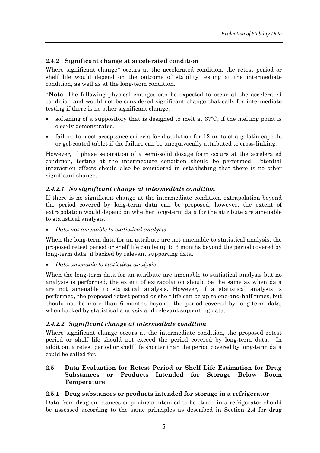## <span id="page-8-0"></span>**2.4.2 Significant change at accelerated condition**

Where significant change\* occurs at the accelerated condition, the retest period or shelf life would depend on the outcome of stability testing at the intermediate condition, as well as at the long-term condition.

\***Note**: The following physical changes can be expected to occur at the accelerated condition and would not be considered significant change that calls for intermediate testing if there is no other significant change:

- softening of a suppository that is designed to melt at 37ºC, if the melting point is clearly demonstrated,
- failure to meet acceptance criteria for dissolution for 12 units of a gelatin capsule or gel-coated tablet if the failure can be unequivocally attributed to cross-linking.

However, if phase separation of a semi-solid dosage form occurs at the accelerated condition, testing at the intermediate condition should be performed. Potential interaction effects should also be considered in establishing that there is no other significant change.

### *2.4.2.1 No significant change at intermediate condition*

If there is no significant change at the intermediate condition, extrapolation beyond the period covered by long-term data can be proposed; however, the extent of extrapolation would depend on whether long-term data for the attribute are amenable to statistical analysis.

• *Data not amenable to statistical analysis* 

When the long-term data for an attribute are not amenable to statistical analysis, the proposed retest period or shelf life can be up to 3 months beyond the period covered by long-term data, if backed by relevant supporting data.

• *Data amenable to statistical analysis* 

When the long-term data for an attribute are amenable to statistical analysis but no analysis is performed, the extent of extrapolation should be the same as when data are not amenable to statistical analysis. However, if a statistical analysis is performed, the proposed retest period or shelf life can be up to one-and-half times, but should not be more than 6 months beyond, the period covered by long-term data, when backed by statistical analysis and relevant supporting data.

#### *2.4.2.2 Significant change at intermediate condition*

Where significant change occurs at the intermediate condition, the proposed retest period or shelf life should not exceed the period covered by long-term data. In addition, a retest period or shelf life shorter than the period covered by long-term data could be called for.

#### **2.5 Data Evaluation for Retest Period or Shelf Life Estimation for Drug Substances or Products Intended for Storage Below Room Temperature**

#### **2.5.1 Drug substances or products intended for storage in a refrigerator**

Data from drug substances or products intended to be stored in a refrigerator should be assessed according to the same principles as described in Section 2.4 for drug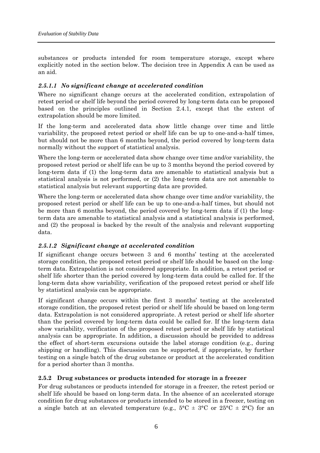<span id="page-9-0"></span>substances or products intended for room temperature storage, except where explicitly noted in the section below. The decision tree in Appendix A can be used as an aid.

### *2.5.1.1 No significant change at accelerated condition*

Where no significant change occurs at the accelerated condition, extrapolation of retest period or shelf life beyond the period covered by long-term data can be proposed based on the principles outlined in Section 2.4.1, except that the extent of extrapolation should be more limited.

If the long-term and accelerated data show little change over time and little variability, the proposed retest period or shelf life can be up to one-and-a-half times, but should not be more than 6 months beyond, the period covered by long-term data normally without the support of statistical analysis.

Where the long-term or accelerated data show change over time and/or variability, the proposed retest period or shelf life can be up to 3 months beyond the period covered by long-term data if (1) the long-term data are amenable to statistical analysis but a statistical analysis is not performed, or (2) the long-term data are not amenable to statistical analysis but relevant supporting data are provided.

Where the long-term or accelerated data show change over time and/or variability, the proposed retest period or shelf life can be up to one-and-a-half times, but should not be more than 6 months beyond, the period covered by long-term data if (1) the longterm data are amenable to statistical analysis and a statistical analysis is performed, and (2) the proposal is backed by the result of the analysis and relevant supporting data.

#### *2.5.1.2 Significant change at accelerated condition*

If significant change occurs between 3 and 6 months' testing at the accelerated storage condition, the proposed retest period or shelf life should be based on the longterm data. Extrapolation is not considered appropriate. In addition, a retest period or shelf life shorter than the period covered by long-term data could be called for. If the long-term data show variability, verification of the proposed retest period or shelf life by statistical analysis can be appropriate.

If significant change occurs within the first 3 months' testing at the accelerated storage condition, the proposed retest period or shelf life should be based on long-term data. Extrapolation is not considered appropriate. A retest period or shelf life shorter than the period covered by long-term data could be called for. If the long-term data show variability, verification of the proposed retest period or shelf life by statistical analysis can be appropriate. In addition, a discussion should be provided to address the effect of short-term excursions outside the label storage condition (e.g., during shipping or handling). This discussion can be supported, if appropriate, by further testing on a single batch of the drug substance or product at the accelerated condition for a period shorter than 3 months.

#### **2.5.2 Drug substances or products intended for storage in a freezer**

For drug substances or products intended for storage in a freezer, the retest period or shelf life should be based on long-term data. In the absence of an accelerated storage condition for drug substances or products intended to be stored in a freezer, testing on a single batch at an elevated temperature (e.g.,  $5^{\circ}C \pm 3^{\circ}C$  or  $25^{\circ}C \pm 2^{\circ}C$ ) for an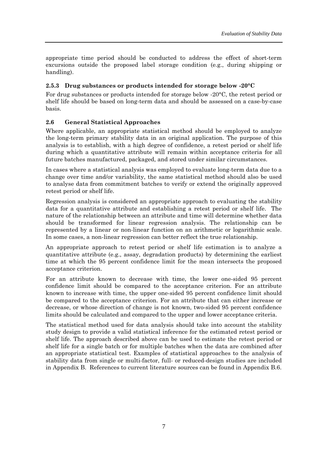<span id="page-10-0"></span>appropriate time period should be conducted to address the effect of short-term excursions outside the proposed label storage condition (e.g., during shipping or handling).

### **2.5.3 Drug substances or products intended for storage below -20°C**

For drug substances or products intended for storage below -20°C, the retest period or shelf life should be based on long-term data and should be assessed on a case-by-case basis.

## **2.6 General Statistical Approaches**

Where applicable, an appropriate statistical method should be employed to analyze the long-term primary stability data in an original application. The purpose of this analysis is to establish, with a high degree of confidence, a retest period or shelf life during which a quantitative attribute will remain within acceptance criteria for all future batches manufactured, packaged, and stored under similar circumstances.

In cases where a statistical analysis was employed to evaluate long-term data due to a change over time and/or variability, the same statistical method should also be used to analyse data from commitment batches to verify or extend the originally approved retest period or shelf life.

Regression analysis is considered an appropriate approach to evaluating the stability data for a quantitative attribute and establishing a retest period or shelf life. The nature of the relationship between an attribute and time will determine whether data should be transformed for linear regression analysis. The relationship can be represented by a linear or non-linear function on an arithmetic or logarithmic scale. In some cases, a non-linear regression can better reflect the true relationship.

An appropriate approach to retest period or shelf life estimation is to analyze a quantitative attribute (e.g., assay, degradation products) by determining the earliest time at which the 95 percent confidence limit for the mean intersects the proposed acceptance criterion.

For an attribute known to decrease with time, the lower one-sided 95 percent confidence limit should be compared to the acceptance criterion. For an attribute known to increase with time, the upper one-sided 95 percent confidence limit should be compared to the acceptance criterion. For an attribute that can either increase or decrease, or whose direction of change is not known, two-sided 95 percent confidence limits should be calculated and compared to the upper and lower acceptance criteria.

The statistical method used for data analysis should take into account the stability study design to provide a valid statistical inference for the estimated retest period or shelf life. The approach described above can be used to estimate the retest period or shelf life for a single batch or for multiple batches when the data are combined after an appropriate statistical test. Examples of statistical approaches to the analysis of stability data from single or multi-factor, full- or reduced-design studies are included in Appendix B. References to current literature sources can be found in Appendix B.6.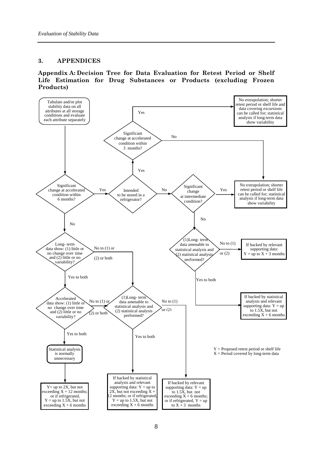#### <span id="page-11-0"></span>**3. APPENDICES**

#### **Appendix A: Decision Tree for Data Evaluation for Retest Period or Shelf Life Estimation for Drug Substances or Products (excluding Frozen Products)**

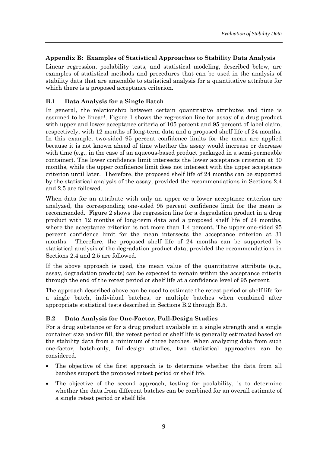### <span id="page-12-0"></span>**Appendix B: Examples of Statistical Approaches to Stability Data Analysis**

Linear regression, poolability tests, and statistical modeling, described below, are examples of statistical methods and procedures that can be used in the analysis of stability data that are amenable to statistical analysis for a quantitative attribute for which there is a proposed acceptance criterion.

## **B.1 Data Analysis for a Single Batch**

In general, the relationship between certain quantitative attributes and time is assumed to be linear1. Figure 1 shows the regression line for assay of a drug product with upper and lower acceptance criteria of 105 percent and 95 percent of label claim, respectively, with 12 months of long-term data and a proposed shelf life of 24 months. In this example, two-sided 95 percent confidence limits for the mean are applied because it is not known ahead of time whether the assay would increase or decrease with time (e.g., in the case of an aqueous-based product packaged in a semi-permeable container). The lower confidence limit intersects the lower acceptance criterion at 30 months, while the upper confidence limit does not intersect with the upper acceptance criterion until later. Therefore, the proposed shelf life of 24 months can be supported by the statistical analysis of the assay, provided the recommendations in Sections 2.4 and 2.5 are followed.

When data for an attribute with only an upper or a lower acceptance criterion are analyzed, the corresponding one-sided 95 percent confidence limit for the mean is recommended. Figure 2 shows the regression line for a degradation product in a drug product with 12 months of long-term data and a proposed shelf life of 24 months, where the acceptance criterion is not more than 1.4 percent. The upper one-sided 95 percent confidence limit for the mean intersects the acceptance criterion at 31 months. Therefore, the proposed shelf life of 24 months can be supported by statistical analysis of the degradation product data, provided the recommendations in Sections 2.4 and 2.5 are followed.

If the above approach is used, the mean value of the quantitative attribute (e.g., assay, degradation products) can be expected to remain within the acceptance criteria through the end of the retest period or shelf life at a confidence level of 95 percent.

The approach described above can be used to estimate the retest period or shelf life for a single batch, individual batches, or multiple batches when combined after appropriate statistical tests described in Sections B.2 through B.5.

## **B.2 Data Analysis for One-Factor, Full-Design Studies**

For a drug substance or for a drug product available in a single strength and a single container size and/or fill, the retest period or shelf life is generally estimated based on the stability data from a minimum of three batches. When analyzing data from such one-factor, batch-only, full-design studies, two statistical approaches can be considered.

- The objective of the first approach is to determine whether the data from all batches support the proposed retest period or shelf life.
- The objective of the second approach, testing for poolability, is to determine whether the data from different batches can be combined for an overall estimate of a single retest period or shelf life.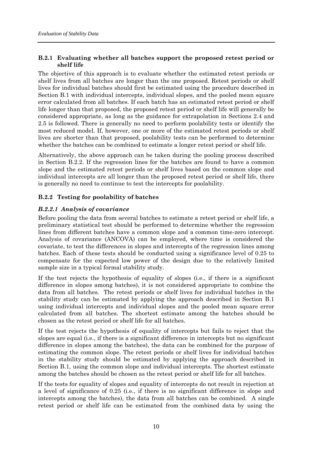### **B.2.1 Evaluating whether all batches support the proposed retest period or shelf life**

The objective of this approach is to evaluate whether the estimated retest periods or shelf lives from all batches are longer than the one proposed. Retest periods or shelf lives for individual batches should first be estimated using the procedure described in Section B.1 with individual intercepts, individual slopes, and the pooled mean square error calculated from all batches. If each batch has an estimated retest period or shelf life longer than that proposed, the proposed retest period or shelf life will generally be considered appropriate, as long as the guidance for extrapolation in Sections 2.4 and 2.5 is followed. There is generally no need to perform poolability tests or identify the most reduced model. If, however, one or more of the estimated retest periods or shelf lives are shorter than that proposed, poolability tests can be performed to determine whether the batches can be combined to estimate a longer retest period or shelf life.

Alternatively, the above approach can be taken during the pooling process described in Section B.2.2. If the regression lines for the batches are found to have a common slope and the estimated retest periods or shelf lives based on the common slope and individual intercepts are all longer than the proposed retest period or shelf life, there is generally no need to continue to test the intercepts for poolability.

## **B.2.2 Testing for poolability of batches**

## *B.2.2.1 Analysis of covariance*

Before pooling the data from several batches to estimate a retest period or shelf life, a preliminary statistical test should be performed to determine whether the regression lines from different batches have a common slope and a common time-zero intercept. Analysis of covariance (ANCOVA) can be employed, where time is considered the covariate, to test the differences in slopes and intercepts of the regression lines among batches. Each of these tests should be conducted using a significance level of 0.25 to compensate for the expected low power of the design due to the relatively limited sample size in a typical formal stability study.

If the test rejects the hypothesis of equality of slopes (i.e., if there is a significant difference in slopes among batches), it is not considered appropriate to combine the data from all batches. The retest periods or shelf lives for individual batches in the stability study can be estimated by applying the approach described in Section B.1 using individual intercepts and individual slopes and the pooled mean square error calculated from all batches. The shortest estimate among the batches should be chosen as the retest period or shelf life for all batches.

If the test rejects the hypothesis of equality of intercepts but fails to reject that the slopes are equal (i.e., if there is a significant difference in intercepts but no significant difference in slopes among the batches), the data can be combined for the purpose of estimating the common slope. The retest periods or shelf lives for individual batches in the stability study should be estimated by applying the approach described in Section B.1, using the common slope and individual intercepts. The shortest estimate among the batches should be chosen as the retest period or shelf life for all batches.

If the tests for equality of slopes and equality of intercepts do not result in rejection at a level of significance of 0.25 (i.e., if there is no significant difference in slope and intercepts among the batches), the data from all batches can be combined. A single retest period or shelf life can be estimated from the combined data by using the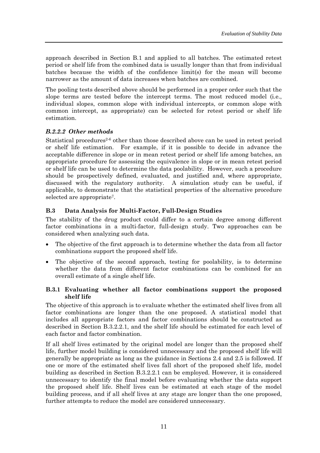approach described in Section B.1 and applied to all batches. The estimated retest period or shelf life from the combined data is usually longer than that from individual batches because the width of the confidence limit(s) for the mean will become narrower as the amount of data increases when batches are combined.

The pooling tests described above should be performed in a proper order such that the slope terms are tested before the intercept terms. The most reduced model (i.e., individual slopes, common slope with individual intercepts, or common slope with common intercept, as appropriate) can be selected for retest period or shelf life estimation.

## *B.2.2.2 Other methods*

Statistical procedures<sup>2-6</sup> other than those described above can be used in retest period or shelf life estimation. For example, if it is possible to decide in advance the acceptable difference in slope or in mean retest period or shelf life among batches, an appropriate procedure for assessing the equivalence in slope or in mean retest period or shelf life can be used to determine the data poolability. However, such a procedure should be prospectively defined, evaluated, and justified and, where appropriate, discussed with the regulatory authority. A simulation study can be useful, if applicable, to demonstrate that the statistical properties of the alternative procedure selected are appropriate7.

## **B.3 Data Analysis for Multi-Factor, Full-Design Studies**

The stability of the drug product could differ to a certain degree among different factor combinations in a multi-factor, full-design study. Two approaches can be considered when analyzing such data.

- The objective of the first approach is to determine whether the data from all factor combinations support the proposed shelf life.
- The objective of the second approach, testing for poolability, is to determine whether the data from different factor combinations can be combined for an overall estimate of a single shelf life.

#### **B.3.1 Evaluating whether all factor combinations support the proposed shelf life**

The objective of this approach is to evaluate whether the estimated shelf lives from all factor combinations are longer than the one proposed. A statistical model that includes all appropriate factors and factor combinations should be constructed as described in Section B.3.2.2.1, and the shelf life should be estimated for each level of each factor and factor combination.

If all shelf lives estimated by the original model are longer than the proposed shelf life, further model building is considered unnecessary and the proposed shelf life will generally be appropriate as long as the guidance in Sections 2.4 and 2.5 is followed. If one or more of the estimated shelf lives fall short of the proposed shelf life, model building as described in Section B.3.2.2.1 can be employed. However, it is considered unnecessary to identify the final model before evaluating whether the data support the proposed shelf life. Shelf lives can be estimated at each stage of the model building process, and if all shelf lives at any stage are longer than the one proposed, further attempts to reduce the model are considered unnecessary.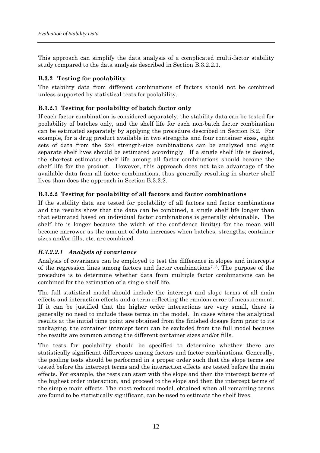This approach can simplify the data analysis of a complicated multi-factor stability study compared to the data analysis described in Section B.3.2.2.1.

## **B.3.2 Testing for poolability**

The stability data from different combinations of factors should not be combined unless supported by statistical tests for poolability.

### **B.3.2.1 Testing for poolability of batch factor only**

If each factor combination is considered separately, the stability data can be tested for poolability of batches only, and the shelf life for each non-batch factor combination can be estimated separately by applying the procedure described in Section B.2. For example, for a drug product available in two strengths and four container sizes, eight sets of data from the 2x4 strength-size combinations can be analyzed and eight separate shelf lives should be estimated accordingly. If a single shelf life is desired, the shortest estimated shelf life among all factor combinations should become the shelf life for the product. However, this approach does not take advantage of the available data from all factor combinations, thus generally resulting in shorter shelf lives than does the approach in Section B.3.2.2.

### **B.3.2.2 Testing for poolability of all factors and factor combinations**

If the stability data are tested for poolability of all factors and factor combinations and the results show that the data can be combined, a single shelf life longer than that estimated based on individual factor combinations is generally obtainable. The shelf life is longer because the width of the confidence limit(s) for the mean will become narrower as the amount of data increases when batches, strengths, container sizes and/or fills, etc. are combined.

#### *B.3.2.2.1 Analysis of covariance*

Analysis of covariance can be employed to test the difference in slopes and intercepts of the regression lines among factors and factor combinations7, 8. The purpose of the procedure is to determine whether data from multiple factor combinations can be combined for the estimation of a single shelf life.

The full statistical model should include the intercept and slope terms of all main effects and interaction effects and a term reflecting the random error of measurement. If it can be justified that the higher order interactions are very small, there is generally no need to include these terms in the model. In cases where the analytical results at the initial time point are obtained from the finished dosage form prior to its packaging, the container intercept term can be excluded from the full model because the results are common among the different container sizes and/or fills.

The tests for poolability should be specified to determine whether there are statistically significant differences among factors and factor combinations. Generally, the pooling tests should be performed in a proper order such that the slope terms are tested before the intercept terms and the interaction effects are tested before the main effects. For example, the tests can start with the slope and then the intercept terms of the highest order interaction, and proceed to the slope and then the intercept terms of the simple main effects. The most reduced model, obtained when all remaining terms are found to be statistically significant, can be used to estimate the shelf lives.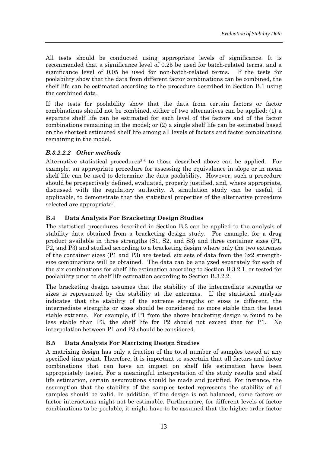All tests should be conducted using appropriate levels of significance. It is recommended that a significance level of 0.25 be used for batch-related terms, and a significance level of 0.05 be used for non-batch-related terms. If the tests for poolability show that the data from different factor combinations can be combined, the shelf life can be estimated according to the procedure described in Section B.1 using the combined data.

If the tests for poolability show that the data from certain factors or factor combinations should not be combined, either of two alternatives can be applied: (1) a separate shelf life can be estimated for each level of the factors and of the factor combinations remaining in the model; or (2) a single shelf life can be estimated based on the shortest estimated shelf life among all levels of factors and factor combinations remaining in the model.

## *B.3.2.2.2 Other methods*

Alternative statistical procedures<sup>2-6</sup> to those described above can be applied. For example, an appropriate procedure for assessing the equivalence in slope or in mean shelf life can be used to determine the data poolability. However, such a procedure should be prospectively defined, evaluated, properly justified, and, where appropriate, discussed with the regulatory authority. A simulation study can be useful, if applicable, to demonstrate that the statistical properties of the alternative procedure selected are appropriate7.

## **B.4 Data Analysis For Bracketing Design Studies**

The statistical procedures described in Section B.3 can be applied to the analysis of stability data obtained from a bracketing design study. For example, for a drug product available in three strengths (S1, S2, and S3) and three container sizes (P1, P2, and P3) and studied according to a bracketing design where only the two extremes of the container sizes (P1 and P3) are tested, six sets of data from the 3x2 strengthsize combinations will be obtained. The data can be analyzed separately for each of the six combinations for shelf life estimation according to Section B.3.2.1, or tested for poolability prior to shelf life estimation according to Section B.3.2.2.

The bracketing design assumes that the stability of the intermediate strengths or sizes is represented by the stability at the extremes. If the statistical analysis indicates that the stability of the extreme strengths or sizes is different, the intermediate strengths or sizes should be considered no more stable than the least stable extreme. For example, if P1 from the above bracketing design is found to be less stable than P3, the shelf life for P2 should not exceed that for P1. No interpolation between P1 and P3 should be considered.

## **B.5 Data Analysis For Matrixing Design Studies**

A matrixing design has only a fraction of the total number of samples tested at any specified time point. Therefore, it is important to ascertain that all factors and factor combinations that can have an impact on shelf life estimation have been appropriately tested. For a meaningful interpretation of the study results and shelf life estimation, certain assumptions should be made and justified. For instance, the assumption that the stability of the samples tested represents the stability of all samples should be valid. In addition, if the design is not balanced, some factors or factor interactions might not be estimable. Furthermore, for different levels of factor combinations to be poolable, it might have to be assumed that the higher order factor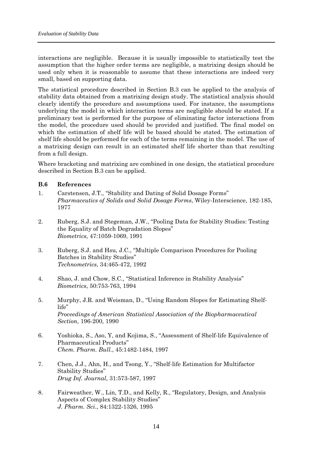interactions are negligible. Because it is usually impossible to statistically test the assumption that the higher order terms are negligible, a matrixing design should be used only when it is reasonable to assume that these interactions are indeed very small, based on supporting data.

The statistical procedure described in Section B.3 can be applied to the analysis of stability data obtained from a matrixing design study. The statistical analysis should clearly identify the procedure and assumptions used. For instance, the assumptions underlying the model in which interaction terms are negligible should be stated. If a preliminary test is performed for the purpose of eliminating factor interactions from the model, the procedure used should be provided and justified. The final model on which the estimation of shelf life will be based should be stated. The estimation of shelf life should be performed for each of the terms remaining in the model. The use of a matrixing design can result in an estimated shelf life shorter than that resulting from a full design.

Where bracketing and matrixing are combined in one design, the statistical procedure described in Section B.3 can be applied.

#### **B.6 References**

- 1. Carstensen, J.T., "Stability and Dating of Solid Dosage Forms" *Pharmaceutics of Solids and Solid Dosage Forms*, Wiley-Interscience, 182-185, 1977
- 2. Ruberg, S.J. and Stegeman, J.W., "Pooling Data for Stability Studies: Testing the Equality of Batch Degradation Slopes" *Biometrics*, 47:1059-1069, 1991
- 3. Ruberg, S.J. and Hsu, J.C., "Multiple Comparison Procedures for Pooling Batches in Stability Studies" *Technometrics*, 34:465-472, 1992
- 4. Shao, J. and Chow, S.C., "Statistical Inference in Stability Analysis" *Biometrics*, 50:753-763, 1994
- 5. Murphy, J.R. and Weisman, D., "Using Random Slopes for Estimating Shelflife" *Proceedings of American Statistical Association of the Biopharmaceutical Section*, 196-200, 1990
- 6. Yoshioka, S., Aso, Y, and Kojima, S., "Assessment of Shelf-life Equivalence of Pharmaceutical Products" *Chem. Pharm. Bull.*, 45:1482-1484, 1997
- 7. Chen, J.J., Ahn, H., and Tsong, Y., "Shelf-life Estimation for Multifactor Stability Studies" *Drug Inf. Journal*, 31:573-587, 1997
- 8. Fairweather, W., Lin, T.D., and Kelly, R., "Regulatory, Design, and Analysis Aspects of Complex Stability Studies" *J. Pharm. Sci*., 84:1322-1326, 1995